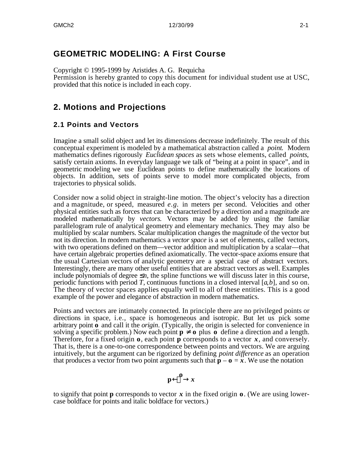Copyright © 1995-1999 by Aristides A. G. Requicha Permission is hereby granted to copy this document for individual student use at USC, provided that this notice is included in each copy.

# **2. Motions and Projections**

**GEOMETRIC MODELING: A First Course**

# **2.1 Points and Vectors**

Imagine a small solid object and let its dimensions decrease indefinitely. The result of this conceptual experiment is modeled by a mathematical abstraction called a *point*. Modern mathematics defines rigorously *Euclidean spaces* as sets whose elements, called *points*, satisfy certain axioms. In everyday language we talk of "being at a point in space", and in geometric modeling we use Euclidean points to define mathematically the locations of objects. In addition, sets of points serve to model more complicated objects, from trajectories to physical solids.

Consider now a solid object in straight-line motion. The object's velocity has a direction and a magnitude, or speed, measured *e.g.* in meters per second. Velocities and other physical entities such as forces that can be characterized by a direction and a magnitude are modeled mathematically by *vectors*. Vectors may be added by using the familiar parallelogram rule of analytical geometry and elementary mechanics. They may also be multiplied by scalar numbers. Scalar multiplication changes the magnitude of the vector but not its direction. In modern mathematics a *vector space* is a set of elements, called vectors, with two operations defined on them—vector addition and multiplication by a scalar—that have certain algebraic properties defined axiomatically. The vector-space axioms ensure that the usual Cartesian vectors of analytic geometry are a special case of abstract vectors. Interestingly, there are many other useful entities that are abstract vectors as well. Examples include polynomials of degree *n*, the spline functions we will discuss later in this course, periodic functions with period *T*, continuous functions in a closed interval [*a*,*b*], and so on. The theory of vector spaces applies equally well to all of these entities. This is a good example of the power and elegance of abstraction in modern mathematics.

Points and vectors are intimately connected. In principle there are no privileged points or directions in space, i.e., space is homogeneous and isotropic. But let us pick some arbitrary point **o** and call it the *origin*. (Typically, the origin is selected for convenience in solving a specific problem.) Now each point **p o** plus **o** define a direction and a length. Therefore, for a fixed origin **o**, each point **p** corresponds to a vector *x*, and conversely. That is, there is a one-to-one correspondence between points and vectors. We are arguing intuitively, but the argument can be rigorized by defining *point difference* as an operation that produces a vector from two point arguments such that  $\mathbf{p} - \mathbf{o} = \mathbf{x}$ . We use the notation

> **p o**  $\boldsymbol{x}$

to signify that point **p** corresponds to vector *x* in the fixed origin **o**. (We are using lowercase boldface for points and italic boldface for vectors.)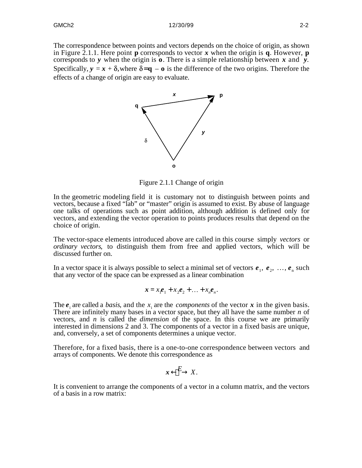The correspondence between points and vectors depends on the choice of origin, as shown in Figure 2.1.1. Here point **p** corresponds to vector x when the origin is  $\mathbf{q}$ . However, **p** corresponds to *y* when the origin is **o**. There is a simple relationship between *x* and *y*. Specifically,  $y = x + \delta$ , where  $\delta = q - q$  is the difference of the two origins. Therefore the effects of a change of origin are easy to evaluate.



Figure 2.1.1 Change of origin

In the geometric modeling field it is customary not to distinguish between points and vectors, because a fixed "lab" or "master" origin is assumed to exist. By abuse of language one talks of operations such as point addition, although addition is defined only for vectors, and extending the vector operation to points produces results that depend on the choice of origin.

The vector-space elements introduced above are called in this course simply *vectors* or *ordinary vectors*, to distinguish them from free and applied vectors, which will be discussed further on.

In a vector space it is always possible to select a minimal set of vectors  $e_1, e_2, \ldots, e_n$  such that any vector of the space can be expressed as a linear combination

$$
\mathbf{x} = x_1 \mathbf{e}_1 + x_2 \mathbf{e}_2 + \dots + x_n \mathbf{e}_n.
$$

The  $e_i$  are called a *basis*, and the  $x_i$  are the *components* of the vector  $x$  in the given basis. There are infinitely many bases in a vector space, but they all have the same number *n* of vectors, and *n* is called the *dimension* of the space. In this course we are primarily interested in dimensions 2 and 3. The components of a vector in a fixed basis are unique, and, conversely, a set of components determines a unique vector.

Therefore, for a fixed basis, there is a one-to-one correspondence between vectors and arrays of components. We denote this correspondence as

$$
x \stackrel{E}{=} x.
$$

It is convenient to arrange the components of a vector in a column matrix, and the vectors of a basis in a row matrix: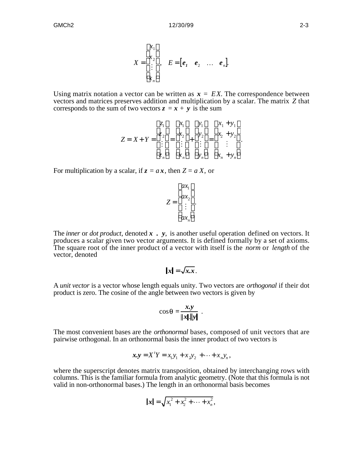$$
X = \begin{bmatrix} x_1 \\ x_2 \\ \vdots \end{bmatrix}, \quad E = \begin{bmatrix} e_1 & e_2 & \dots & e_n \end{bmatrix}
$$

Using matrix notation a vector can be written as  $x = EX$ . The correspondence between vectors and matrices preserves addition and multiplication by a scalar. The matrix *Z* that corresponds to the sum of two vectors  $z = x + y$  is the sum

$$
Z = X + Y = \begin{cases} z_1 & x_1 & y_1 & x_1 + y_1 \\ z_2 & = x_2 & y_2 \\ \vdots & \vdots & \vdots \\ z_n & x_n & y_n & x_n + y_n \end{cases}
$$

For multiplication by a scalar, if  $z = ax$ , then  $Z = a X$ , or

$$
Z = \begin{array}{c} ax_1 \\ ax_2 \\ \vdots \\ ax_n \end{array}.
$$

The *inner* or *dot product*, denoted *x . y*, is another useful operation defined on vectors. It produces a scalar given two vector arguments. It is defined formally by a set of axioms. The square root of the inner product of a vector with itself is the *norm* or *length* of the vector, denoted

$$
||x|| = \sqrt{x.x}.
$$

A *unit vector* is a vector whose length equals unity. Two vectors are *orthogonal* if their dot product is zero. The cosine of the angle between two vectors is given by

$$
\cos\theta = \frac{x.y}{\|x\| \|y\|} .
$$

The most convenient bases are the *orthonormal* bases, composed of unit vectors that are pairwise orthogonal. In an orthonormal basis the inner product of two vectors is

$$
x.y = XtY = x1y1 + x2y2 + \cdots + xnyn,
$$

where the superscript denotes matrix transposition, obtained by interchanging rows with columns. This is the familiar formula from analytic geometry. (Note that this formula is not valid in non-orthonormal bases.) The length in an orthonormal basis becomes

$$
\|\mathbf{x}\| = \sqrt{x_1^2 + x_2^2 + \cdots + x_n^2},
$$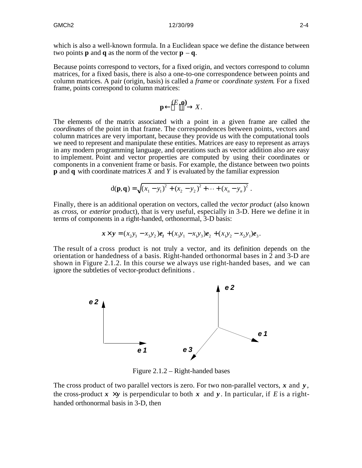which is also a well-known formula. In a Euclidean space we define the distance between two points **p** and **q** as the norm of the vector  $\mathbf{p} - \mathbf{q}$ .

Because points correspond to vectors, for a fixed origin, and vectors correspond to column matrices, for a fixed basis, there is also a one-to-one correspondence between points and column matrices. A pair (origin, basis) is called a *frame* or *coordinate system*. For a fixed frame, points correspond to column matrices:

$$
\mathbf{p} \quad (E, \mathbf{0}) \quad X.
$$

The elements of the matrix associated with a point in a given frame are called the *coordinates* of the point in that frame. The correspondences between points, vectors and column matrices are very important, because they provide us with the computational tools we need to represent and manipulate these entities. Matrices are easy to represent as arrays in any modern programming language, and operations such as vector addition also are easy to implement. Point and vector properties are computed by using their coordinates or components in a convenient frame or basis. For example, the distance between two points **p** and **q** with coordinate matrices *X* and *Y* is evaluated by the familiar expression

$$
d(\mathbf{p},\mathbf{q}) = \sqrt{(x_1 - y_1)^2 + (x_2 - y_2)^2 + \dots + (x_n - y_n)^2}.
$$

Finally, there is an additional operation on vectors, called the *vector product* (also known as *cross*, or *exterior* product), that is very useful, especially in 3-D. Here we define it in terms of components in a right-handed, orthonormal, 3-D basis:

$$
\mathbf{x} \times \mathbf{y} = (x_2y_3 - x_3y_2)\mathbf{e}_1 + (x_3y_1 - x_1y_3)\mathbf{e}_2 + (x_1y_2 - x_2y_1)\mathbf{e}_3.
$$

The result of a cross product is not truly a vector, and its definition depends on the orientation or handedness of a basis. Right-handed orthonormal bases in 2 and 3-D are shown in Figure 2.1.2. In this course we always use right-handed bases, and we can ignore the subtleties of vector-product definitions .



Figure 2.1.2 – Right-handed bases

The cross product of two parallel vectors is zero. For two non-parallel vectors, *x* and *y* , the cross-product  $\mathbf{x} \times \mathbf{y}$  is perpendicular to both  $\mathbf{x}$  and  $\mathbf{y}$ . In particular, if *E* is a righthanded orthonormal basis in 3-D, then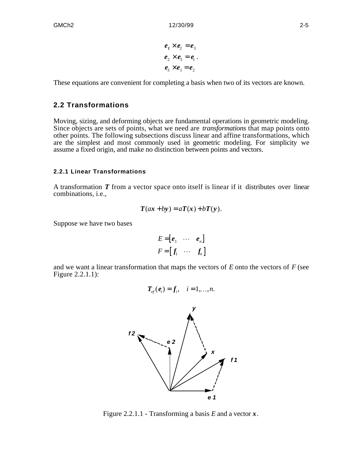$$
e_1 \times e_2 = e_3
$$
  
\n
$$
e_2 \times e_3 = e_1.
$$
  
\n
$$
e_3 \times e_1 = e_2
$$

These equations are convenient for completing a basis when two of its vectors are known.

## **2.2 Transformations**

Moving, sizing, and deforming objects are fundamental operations in geometric modeling. Since objects are sets of points, what we need are *transformations* that map points onto other points. The following subsections discuss linear and affine transformations, which are the simplest and most commonly used in geometric modeling. For simplicity we assume a fixed origin, and make no distinction between points and vectors.

#### **2.2.1 Linear Transformations**

A transformation *T* from a vector space onto itself is linear if it distributes over linear combinations, i.e.,

$$
T(ax + by) = aT(x) + bT(y).
$$

Suppose we have two bases

$$
E = [e_1 \cdots e_n]
$$
  

$$
F = [f_1 \cdots f_n]
$$

and we want a linear transformation that maps the vectors of *E* onto the vectors of *F* (see Figure 2.2.1.1):

$$
\boldsymbol{T}_{\boldsymbol{e}f}(\boldsymbol{e}_i)=\boldsymbol{f}_i, \quad i=1,\ldots,n.
$$



Figure 2.2.1.1 - Transforming a basis *E* and a vector *x*.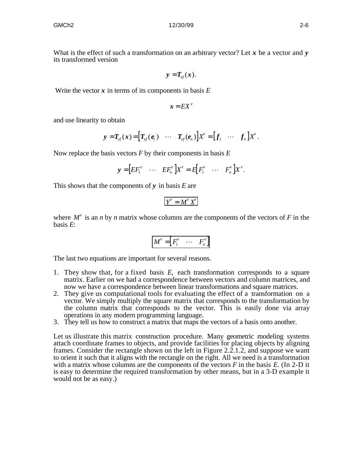$$
y = T_{ef}(x).
$$

Write the vector  $x$  in terms of its components in basis  $E$ 

$$
x = EX^e
$$

and use linearity to obtain

$$
\mathbf{y} = T_{ef}(x) = \left[ T_{ef}(e_1) \cdots T_{ef}(e_n) \right] X^e = \left[ f_1 \cdots f_n \right] X^e.
$$

Now replace the basis vectors *F* by their components in basis *E*

$$
\mathbf{y} = \begin{bmatrix} EF_1^e & \cdots & EF_n^e \end{bmatrix} X^e = E \begin{bmatrix} F_1^e & \cdots & F_n^e \end{bmatrix} X^e.
$$

This shows that the components of *y* in basis *E* are

$$
Y^e = M^e X^e
$$

where  $M^e$  is an *n* by *n* matrix whose columns are the components of the vectors of *F* in the basis *E*:

$$
M^e = \begin{bmatrix} F_1^e & \cdots & F_n^e \end{bmatrix}
$$

The last two equations are important for several reasons.

- 1. They show that, for a fixed basis *E*, each transformation corresponds to a square matrix. Earlier on we had a correspondence between vectors and column matrices, and now we have a correspondence between linear transformations and square matrices.
- 2. They give us computational tools for evaluating the effect of a transformation on a vector. We simply multiply the square matrix that corresponds to the transformation by the column matrix that corresponds to the vector. This is easily done via array operations in any modern programming language.
- 3. They tell us how to construct a matrix that maps the vectors of a basis onto another.

Let us illustrate this matrix construction procedure. Many geometric modeling systems attach coordinate frames to objects, and provide facilities for placing objects by aligning frames. Consider the rectangle shown on the left in Figure 2.2.1.2, and suppose we want to orient it such that it aligns with the rectangle on the right. All we need is a transformation with a matrix whose columns are the components of the vectors *F* in the basis *E*. (In 2-D it is easy to determine the required transformation by other means, but in a 3-D example it would not be as easy.)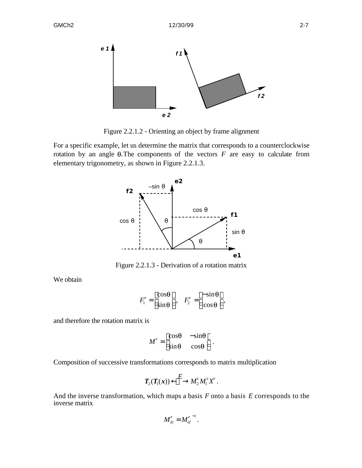

Figure 2.2.1.2 - Orienting an object by frame alignment

For a specific example, let us determine the matrix that corresponds to a counterclockwise rotation by an angle  $\theta$ . The components of the vectors  $F$  are easy to calculate from elementary trigonometry, as shown in Figure 2.2.1.3.



Figure 2.2.1.3 - Derivation of a rotation matrix

We obtain

$$
F_1^e = \frac{\cos\theta}{\sin\theta} , \quad F_2^e = \frac{-\sin\theta}{\cos\theta}
$$

,

and therefore the rotation matrix is

$$
M^e = \frac{\cos\theta}{\sin\theta} - \frac{-\sin\theta}{\cos\theta}.
$$

Composition of successive transformations corresponds to matrix multiplication

$$
\boldsymbol{T}_2(\boldsymbol{T}_\mathrm{l}(\boldsymbol{x})) \quad \stackrel{\boldsymbol{E}}{=} \quad M^e_2 M^e_1 X^e \,.
$$

And the inverse transformation, which maps a basis *F* onto a basis *E* corresponds to the inverse matrix

$$
M_{fe}^e = M_{ef}^{e^{-1}}.
$$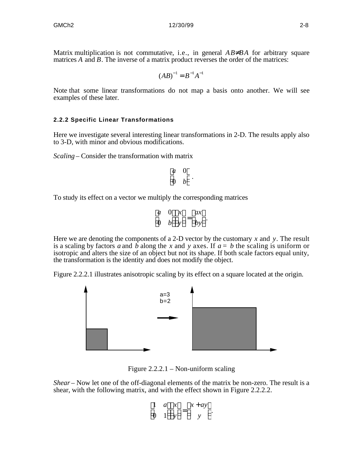Matrix multiplication is not commutative, i.e., in general *AB BA* for arbitrary square matrices *A* and *B*. The inverse of a matrix product reverses the order of the matrices:

$$
(AB)^{-1}=B^{-1}A^{-1}
$$

Note that some linear transformations do not map a basis onto another. We will see examples of these later.

## **2.2.2 Specific Linear Transformations**

Here we investigate several interesting linear transformations in 2-D. The results apply also to 3-D, with minor and obvious modifications.

*Scaling* – Consider the transformation with matrix

$$
\begin{array}{cc}\n a & 0 \\
 0 & b\n\end{array}.
$$

To study its effect on a vector we multiply the corresponding matrices

$$
\begin{array}{cc}\n a & 0 & x \\
 0 & b & y\n\end{array} = \begin{array}{c}\n ax \\
 by\n\end{array}.
$$

Here we are denoting the components of a 2-D vector by the customary *x* and *y*. The result is a scaling by factors a and b along the x and y axes. If  $a = b$  the scaling is uniform or isotropic and alters the size of an object but not its shape. If both scale factors equal unity, the transformation is the identity and does not modify the object.

Figure 2.2.2.1 illustrates anisotropic scaling by its effect on a square located at the origin.



Figure  $2.2.2.1$  – Non-uniform scaling

*Shear* – Now let one of the off-diagonal elements of the matrix be non-zero. The result is a shear, with the following matrix, and with the effect shown in Figure 2.2.2.2.

$$
\begin{array}{ccc}\n1 & a & x \\
0 & 1 & y\n\end{array} = \begin{array}{c}\nx + ay \\
y\n\end{array}
$$

.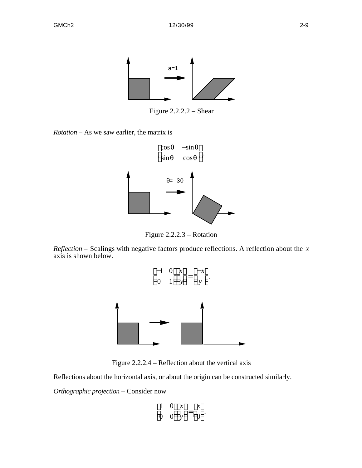

Figure 2.2.2.2 – Shear

*Rotation* – As we saw earlier, the matrix is



Figure 2.2.2.3 – Rotation

*Reflection –* Scalings with negative factors produce reflections. A reflection about the *x* axis is shown below.





Reflections about the horizontal axis, or about the origin can be constructed similarly.

*Orthographic projection* – Consider now

$$
\frac{1}{0} \quad \frac{0}{0} \quad \frac{x}{y} = \frac{x}{0} \ .
$$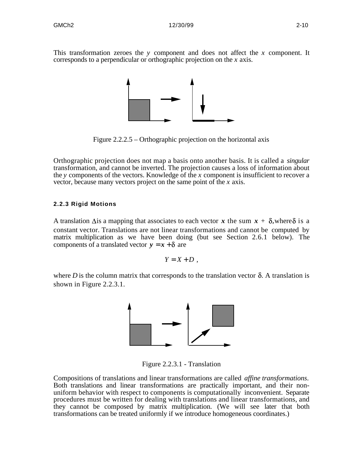This transformation zeroes the *y* component and does not affect the *x* component. It corresponds to a perpendicular or orthographic projection on the *x* axis.



Figure 2.2.2.5 – Orthographic projection on the horizontal axis

Orthographic projection does not map a basis onto another basis. It is called a *singular* transformation, and cannot be inverted. The projection causes a loss of information about the *y* components of the vectors. Knowledge of the *x* component is insufficient to recover a vector, because many vectors project on the same point of the *x* axis.

## **2.2.3 Rigid Motions**

A translation  $\Delta$ is a mapping that associates to each vector *x* the sum  $x + \delta$ , where  $\delta$  is a constant vector. Translations are not linear transformations and cannot be computed by matrix multiplication as we have been doing (but see Section 2.6.1 below). The components of a translated vector  $y = x + \delta$  are

$$
Y=X+D,
$$

where *D* is the column matrix that corresponds to the translation vector  $\delta$ . A translation is shown in Figure 2.2.3.1.



Figure 2.2.3.1 - Translation

Compositions of translations and linear transformations are called *affine transformations*. Both translations and linear transformations are practically important, and their nonuniform behavior with respect to components is computationally inconvenient. Separate procedures must be written for dealing with translations and linear transformations, and they cannot be composed by matrix multiplication. (We will see later that both transformations can be treated uniformly if we introduce homogeneous coordinates.)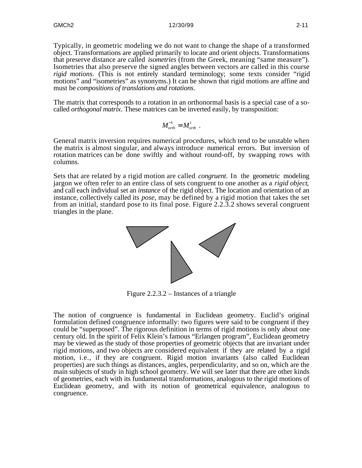Typically, in geometric modeling we do not want to change the shape of a transformed object. Transformations are applied primarily to locate and orient objects. Transformations that preserve distance are called *isometries* (from the Greek, meaning "same measure"). Isometries that also preserve the signed angles between vectors are called in this course *rigid motions*. (This is not entirely standard terminology; some texts consider "rigid" motions" and "isometries" as synonyms.) It can be shown that rigid motions are affine and must be *compositions of translations and rotations*.

The matrix that corresponds to a rotation in an orthonormal basis is a special case of a socalled *orthogonal matrix*. These matrices can be inverted easily, by transposition:

$$
M_{\sigma rth}^{-1} = M_{\sigma rth}^{t} \enspace .
$$

General matrix inversion requires numerical procedures, which tend to be unstable when the matrix is almost singular, and always introduce numerical errors. But inversion of rotation matrices can be done swiftly and without round-off, by swapping rows with columns.

Sets that are related by a rigid motion are called *congruent*. In the geometric modeling jargon we often refer to an entire class of sets congruent to one another as a *rigid object*, and call each individual set an *instance* of the rigid object. The location and orientation of an instance, collectively called its *pose*, may be defined by a rigid motion that takes the set from an initial, standard pose to its final pose. Figure 2.2.3.2 shows several congruent triangles in the plane.



Figure 2.2.3.2 – Instances of a triangle

The notion of congruence is fundamental in Euclidean geometry. Euclid's original formulation defined congruence informally: two figures were said to be congruent if they could be "superposed". The rigorous definition in terms of rigid motions is only about one century old. In the spirit of Felix Klein's famous "Erlangen program", Euclidean geometry may be viewed as the study of those properties of geometric objects that are invariant under rigid motions, and two objects are considered equivalent if they are related by a rigid motion, i.e., if they are congruent. Rigid motion invariants (also called Euclidean properties) are such things as distances, angles, perpendicularity, and so on, which are the main subjects of study in high school geometry. We will see later that there are other kinds of geometries, each with its fundamental transformations, analogous to the rigid motions of Euclidean geometry, and with its notion of geometrical equivalence, analogous to congruence.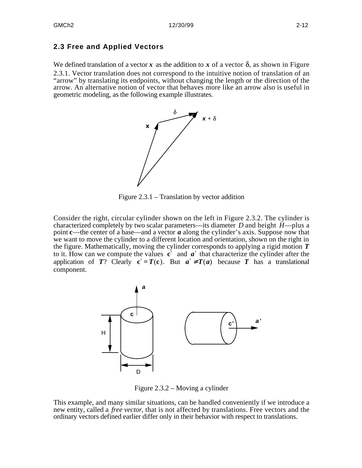# **2.3 Free and Applied Vectors**

We defined translation of a vector  $x$  as the addition to  $x$  of a vector  $\delta$ , as shown in Figure 2.3.1. Vector translation does not correspond to the intuitive notion of translation of an "arrow" by translating its endpoints, without changing the length or the direction of the arrow. An alternative notion of vector that behaves more like an arrow also is useful in geometric modeling, as the following example illustrates.



Figure 2.3.1 – Translation by vector addition

Consider the right, circular cylinder shown on the left in Figure 2.3.2. The cylinder is characterized completely by two scalar parameters—its diameter *D* and height *H*—plus a point **c**—the center of a base—and a vector *a* along the cylinder's axis. Suppose now that we want to move the cylinder to a different location and orientation, shown on the right in the figure. Mathematically, moving the cylinder corresponds to applying a rigid motion *T* to it. How can we compute the values **c** ′ and *a* ′ that characterize the cylinder after the application of *T*? Clearly  $c = T(c)$ . But *a*  $T(a)$  because *T* has a translational component.



Figure 2.3.2 – Moving a cylinder

This example, and many similar situations, can be handled conveniently if we introduce a new entity, called a *free vector*, that is not affected by translations. Free vectors and the ordinary vectors defined earlier differ only in their behavior with respect to translations.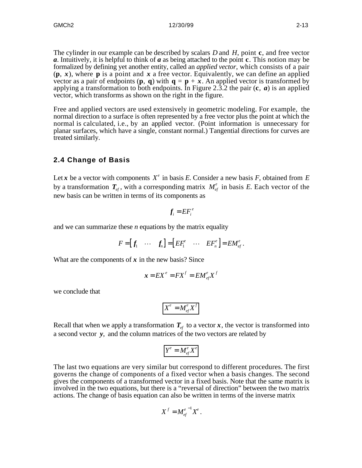The cylinder in our example can be described by scalars *D* and *H*, point **c**, and free vector *a*. Intuitively, it is helpful to think of *a* as being attached to the point **c**. This notion may be formalized by defining yet another entity, called an *applied vector*, which consists of a pair  $(\mathbf{p}, \mathbf{x})$ , where **p** is a point and  $\mathbf{x}$  a free vector. Equivalently, we can define an applied vector as a pair of endpoints  $(\mathbf{p}, \mathbf{q})$  with  $\mathbf{q} = \mathbf{p} + \mathbf{x}$ . An applied vector is transformed by applying a transformation to both endpoints. In Figure 2.3.2 the pair (**c**, *a*) is an applied vector, which transforms as shown on the right in the figure.

Free and applied vectors are used extensively in geometric modeling. For example, the normal direction to a surface is often represented by a free vector plus the point at which the normal is calculated, i.e., by an applied vector. (Point information is unnecessary for planar surfaces, which have a single, constant normal.) Tangential directions for curves are treated similarly.

# **2.4 Change of Basis**

Let *x* be a vector with components  $X^e$  in basis *E*. Consider a new basis *F*, obtained from *E* by a transformation  $T_{ef}$ , with a corresponding matrix  $M_{ef}^e$  in basis E. Each vector of the new basis can be written in terms of its components as

$$
f_i = EF_i^e
$$

and we can summarize these *n* equations by the matrix equality

$$
F = [f_1 \cdots f_n] = [EF_1^e \cdots EF_n^e] = EM_{ef}^e.
$$

What are the components of  $x$  in the new basis? Since

$$
x = EX^e = FX^f = EM^e_{ef}X^f
$$

we conclude that

$$
X^e = M_{ef}^e X^f
$$

Recall that when we apply a transformation  $T_{ef}$  to a vector  $x$ , the vector is transformed into a second vector *y*, and the column matrices of the two vectors are related by

$$
Y^e = M_{ef}^e X^e
$$

The last two equations are very similar but correspond to different procedures. The first governs the change of components of a fixed vector when a basis changes. The second gives the components of a transformed vector in a fixed basis. Note that the same matrix is involved in the two equations, but there is a "reversal of direction" between the two matrix actions. The change of basis equation can also be written in terms of the inverse matrix

$$
X^f = M_{ef}^{e^{-1}} X^e.
$$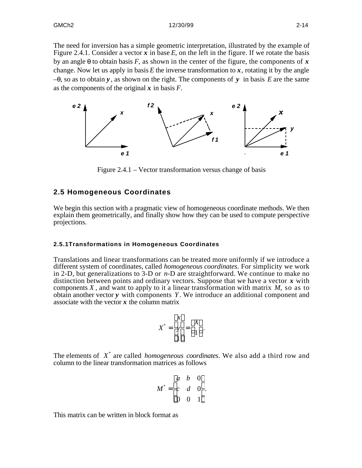The need for inversion has a simple geometric interpretation, illustrated by the example of Figure 2.4.1. Consider a vector  $x$  in base  $E$ , on the left in the figure. If we rotate the basis by an angle  $\theta$  to obtain basis *F*, as shown in the center of the figure, the components of x change. Now let us apply in basis  $E$  the inverse transformation to  $x$ , rotating it by the angle  $-0$ , so as to obtain **y**, as shown on the right. The components of **y** in basis *E* are the same as the components of the original *x* in basis *F*.



Figure 2.4.1 – Vector transformation versus change of basis

## **2.5 Homogeneous Coordinates**

We begin this section with a pragmatic view of homogeneous coordinate methods. We then explain them geometrically, and finally show how they can be used to compute perspective projections.

#### **2.5.1Transformations in Homogeneous Coordinates**

Translations and linear transformations can be treated more uniformly if we introduce a different system of coordinates, called *homogeneous coordinates*. For simplicity we work in 2-D, but generalizations to 3-D or *n*-D are straightforward. We continue to make no distinction between points and ordinary vectors. Suppose that we have a vector *x* with components *X ,* and want to apply to it a linear transformation with matrix *M*, so as to obtain another vector *y* with components *Y*. We introduce an additional component and associate with the vector  $x$  the column matrix

$$
X^* = \begin{array}{c} x \\ y \\ 1 \end{array} = \begin{array}{c} X \\ 1 \end{array}.
$$

The elements of X<sup>\*</sup> are called *homogeneous coordinates*. We also add a third row and column to the linear transformation matrices as follows

$$
M^* = \begin{array}{ccc} a & b & 0 \\ c & d & 0 \\ 0 & 0 & 1 \end{array}.
$$

This matrix can be written in block format as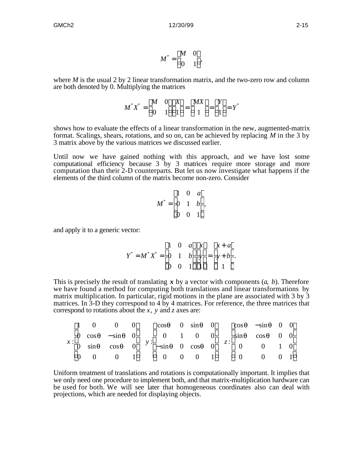$$
M^* = \begin{array}{cc} M & 0 \\ 0 & 1 \end{array}
$$

where *M* is the usual 2 by 2 linear transformation matrix, and the two-zero row and column are both denoted by 0. Multiplying the matrices

$$
M^*X^* = \frac{M}{0} \quad \frac{0}{1} \quad \frac{X}{1} = \frac{MX}{1} = \frac{Y}{1} = Y^*
$$

shows how to evaluate the effects of a linear transformation in the new, augmented-matrix format. Scalings, shears, rotations, and so on, can be achieved by replacing *M* in the 3 by 3 matrix above by the various matrices we discussed earlier.

Until now we have gained nothing with this approach, and we have lost some computational efficiency because 3 by 3 matrices require more storage and more computation than their 2-D counterparts. But let us now investigate what happens if the elements of the third column of the matrix become non-zero. Consider

$$
M^* = \begin{pmatrix} 1 & 0 & a \\ 0 & 1 & b \\ 0 & 0 & 1 \end{pmatrix},
$$

and apply it to a generic vector:

$$
Y^* = M^* X^* = \begin{pmatrix} 1 & 0 & a & x & x+a \\ 0 & 1 & b & y & = y+b \\ 0 & 0 & 1 & 1 & 1 \end{pmatrix}.
$$

This is precisely the result of translating *x* by a vector with components (*a*, *b*). Therefore we have found a method for computing both translations and linear transformations by matrix multiplication. In particular, rigid motions in the plane are associated with  $3 \text{ by } 3$ matrices. In 3-D they correspond to 4 by 4 matrices. For reference, the three matrices that correspond to rotations about the *x*, *y* and *z* axes are:

|  |  | 1 0 0 0 $\cos\theta$ 0 $\sin\theta$ 0 $\cos\theta$ $-\sin\theta$ 0 0                                                        |  |  |  |  |
|--|--|-----------------------------------------------------------------------------------------------------------------------------|--|--|--|--|
|  |  | $0 \cos \theta$ $-\sin \theta$ 0 0 1 0 0 $\sin \theta$ $\cos \theta$ 0 0                                                    |  |  |  |  |
|  |  | $x: 0 \sin \theta \cos \theta \quad 0 \quad y: -\sin \theta \quad 0 \cos \theta \quad 0 \quad z: 0 \quad 0 \quad 1 \quad 0$ |  |  |  |  |
|  |  | 0 0 0 1 0 0 0 1 0 0 0 1                                                                                                     |  |  |  |  |

Uniform treatment of translations and rotations is computationally important. It implies that we only need one procedure to implement both, and that matrix-multiplication hardware can be used for both. We will see later that homogeneous coordinates also can deal with projections, which are needed for displaying objects.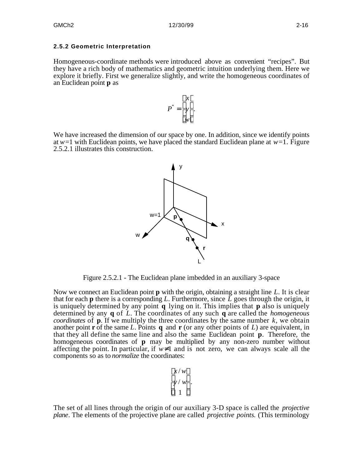#### **2.5.2 Geometric Interpretation**

Homogeneous-coordinate methods were introduced above as convenient "recipes". But they have a rich body of mathematics and geometric intuition underlying them. Here we explore it briefly. First we generalize slightly, and write the homogeneous coordinates of an Euclidean point **p** as

$$
P^* = \begin{array}{c} x \\ y \\ w \end{array}.
$$

We have increased the dimension of our space by one. In addition, since we identify points at  $w=1$  with Euclidean points, we have placed the standard Euclidean plane at  $w=1$ . Figure 2.5.2.1 illustrates this construction.



Figure 2.5.2.1 - The Euclidean plane imbedded in an auxiliary 3-space

Now we connect an Euclidean point **p** with the origin, obtaining a straight line *L*. It is clear that for each **p** there is a corresponding L. Furthermore, since  $\tilde{L}$  goes through the origin, it is uniquely determined by any point **q** lying on it. This implies that **p** also is uniquely determined by any **q** of *L*. The coordinates of any such **q** are called the *homogeneous coordinates* of  $\bf{p}$ . If we multiply the three coordinates by the same number  $k$ , we obtain another point **r** of the same L. Points **q** and **r** (or any other points of L) are equivalent, in that they all define the same line and also the same Euclidean point **p**. Therefore, the homogeneous coordinates of **p** may be multiplied by any non-zero number without affecting the point. In particular, if *w* 1 and is not zero, we can always scale all the components so as to *normalize* the coordinates:

$$
\begin{array}{c}\nx/w \\
y/w \\
1\n\end{array}
$$

The set of all lines through the origin of our auxiliary 3-D space is called the *projective plane*. The elements of the projective plane are called *projective points.* (This terminology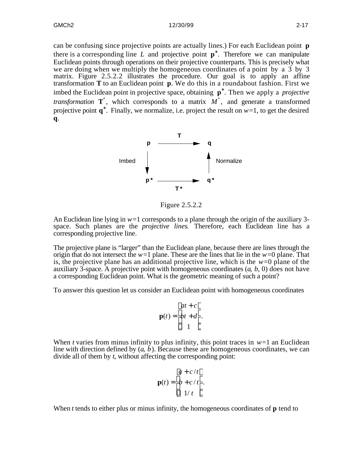can be confusing since projective points are actually lines.) For each Euclidean point **p** there is a corresponding line *L* and projective point **p** . Therefore we can manipulate Euclidean points through operations on their projective counterparts. This is precisely what we are doing when we multiply the homogeneous coordinates of a point by a  $\overline{3}$  by  $\overline{3}$ matrix. Figure 2.5.2.2 illustrates the procedure. Our goal is to apply an affine transformation **T** to an Euclidean point **p**. We do this in a roundabout fashion. First we imbed the Euclidean point in projective space, obtaining **p** . Then we apply a *projective transformation*  $T^*$ , which corresponds to a matrix  $M^*$ , and generate a transformed projective point  $\bf{q}$ . Finally, we normalize, i.e. project the result on  $w=1$ , to get the desired **q**.



Figure 2.5.2.2

An Euclidean line lying in  $w=1$  corresponds to a plane through the origin of the auxiliary 3space. Such planes are the *projective lines*. Therefore, each Euclidean line has a corresponding projective line.

The projective plane is "larger" than the Euclidean plane, because there are lines through the origin that do not intersect the  $w=1$  plane. These are the lines that lie in the  $w=0$  plane. That is, the projective plane has an additional projective line, which is the  $w=0$  plane of the auxiliary 3-space. A projective point with homogeneous coordinates (*a*, *b*, 0) does not have a corresponding Euclidean point. What is the geometric meaning of such a point?

To answer this question let us consider an Euclidean point with homogeneous coordinates

$$
at + c
$$
  

$$
\mathbf{p}(t) = bt + d
$$
  

$$
1
$$

When *t* varies from minus infinity to plus infinity, this point traces in  $w=1$  an Euclidean line with direction defined by  $(a, b)$ . Because these are homogeneous coordinates, we can divide all of them by *t*, without affecting the corresponding point:

$$
a + c/t
$$
  

$$
\mathbf{p}(t) = b + c/t
$$
  

$$
1/t
$$

When *t* tends to either plus or minus infinity, the homogeneous coordinates of **p** tend to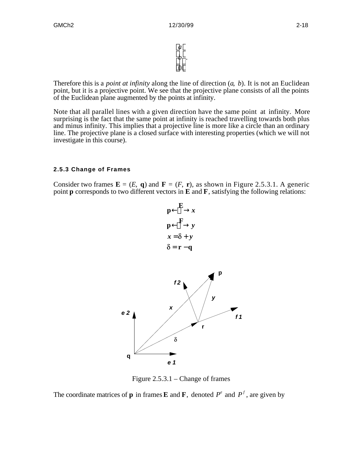*a b* 0  $\overline{\phantom{a}}$ .

Therefore this is a *point at infinity* along the line of direction (*a*, *b*). It is not an Euclidean point, but it is a projective point. We see that the projective plane consists of all the points of the Euclidean plane augmented by the points at infinity.

Note that all parallel lines with a given direction have the same point at infinity. More surprising is the fact that the same point at infinity is reached travelling towards both plus and minus infinity. This implies that a projective line is more like a circle than an ordinary line. The projective plane is a closed surface with interesting properties (which we will not investigate in this course).

## **2.5.3 Change of Frames**

Consider two frames  $\mathbf{E} = (E, \mathbf{q})$  and  $\mathbf{F} = (F, \mathbf{r})$ , as shown in Figure 2.5.3.1. A generic point **p** corresponds to two different vectors in **E** and **F**, satisfying the following relations:



Figure 2.5.3.1 – Change of frames

The coordinate matrices of **p** in frames **E** and **F**, denoted  $P^e$  and  $P^f$ , are given by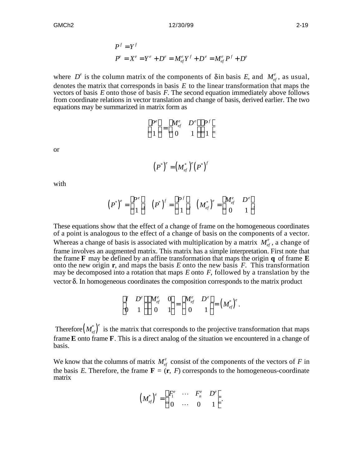$$
P^{f} = Y^{f}
$$
  

$$
P^{e} = X^{e} = Y^{e} + D^{e} = M_{ef}^{e} Y^{f} + D^{e} = M_{ef}^{e} P^{f} + D^{e}
$$

where  $D^e$  is the column matrix of the components of  $\delta$  in basis *E*, and  $M^e_{ef}$ , as usual, denotes the matrix that corresponds in basis *E* to the linear transformation that maps the vectors of basis *E* onto those of basis *F*. The second equation immediately above follows from coordinate relations in vector translation and change of basis, derived earlier. The two equations may be summarized in matrix form as

$$
\begin{array}{ccccc}\nP^e & & & M^e_{ef} & D^e & P^f \\
1 & & 0 & 1 & 1\n\end{array}
$$

or

$$
(P^*)^e = (M_{ef}^*)^e (P^*)^f
$$

with

$$
(P^*)^e = \frac{P^e}{1}, \quad (P^*)^f = \frac{P^f}{1}, \quad (M^*_{ef})^e = \frac{M^e_{ef}}{0} \frac{D^e}{1}.
$$

These equations show that the effect of a change of frame on the homogeneous coordinates of a point is analogous to the effect of a change of basis on the components of a vector. Whereas a change of basis is associated with multiplication by a matrix  $M_{ef}^e$ , a change of frame involves an augmented matrix. This matrix has a simple interpretation. First note that the frame **F** may be defined by an affine transformation that maps the origin **q** of frame **E** onto the new origin **r**, and maps the basis *E* onto the new basis *F*. This transformation may be decomposed into a rotation that maps *E* onto *F*, followed by a translation by the vector  $\delta$ . In homogeneous coordinates the composition corresponds to the matrix product

$$
\begin{array}{ccccc}\nI & D^e & M_{ef}^e & 0 \\
0 & 1 & 0 & 1\n\end{array} = \begin{array}{ccccc}\nM_{ef}^e & D^e & \\
0 & 1 & 0\n\end{array} = \left(M_{ef}^*\right)^e.
$$

Therefore  $(M_{ef}^*)^e$  is the matrix that corresponds to the projective transformation that maps frame **E** onto frame **F**. This is a direct analog of the situation we encountered in a change of basis.

We know that the columns of matrix  $M_{ef}^e$  consist of the components of the vectors of *F* in the basis *E*. Therefore, the frame  $\mathbf{F} = (\mathbf{r}, F)$  corresponds to the homogeneous-coordinate matrix

$$
\left(M^{*}_{ef}\right)^e = \begin{array}{cccc} F_1^e & \cdots & F_n^e & D^e \\ 0 & \cdots & 0 & 1 \end{array}.
$$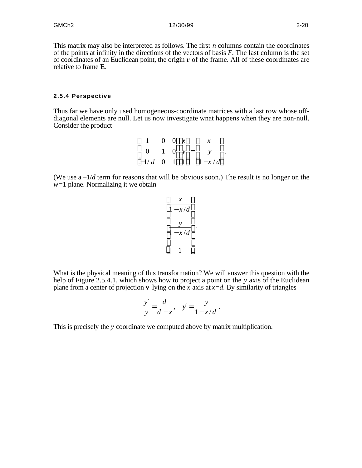This matrix may also be interpreted as follows. The first *n* columns contain the coordinates of the points at infinity in the directions of the vectors of basis *F*. The last column is the set of coordinates of an Euclidean point, the origin **r** of the frame. All of these coordinates are relative to frame **E**.

#### **2.5.4 Perspective**

Thus far we have only used homogeneous-coordinate matrices with a last row whose offdiagonal elements are null. Let us now investigate wnat happens when they are non-null. Consider the product

| $1 \quad 0 \quad 0 \quad x$ |  |  | $\mathcal{X}$        |  |
|-----------------------------|--|--|----------------------|--|
|                             |  |  | 0 1 0 $y = y$ .      |  |
|                             |  |  | $-1/d$ 0 1 1 $1-x/d$ |  |

(We use  $a - 1/d$  term for reasons that will be obvious soon.) The result is no longer on the *w*=1 plane. Normalizing it we obtain

$$
\frac{x}{1 - x/d}
$$
  

$$
\frac{y}{1 - x/d}
$$
  
1

What is the physical meaning of this transformation? We will answer this question with the help of Figure 2.5.4.1, which shows how to project a point on the *y* axis of the Euclidean plane from a center of projection **v** lying on the *x* axis at  $x=d$ . By similarity of triangles

$$
\frac{y}{y} = \frac{d}{d-x}, \quad y = \frac{y}{1-x/d}.
$$

This is precisely the *y* coordinate we computed above by matrix multiplication.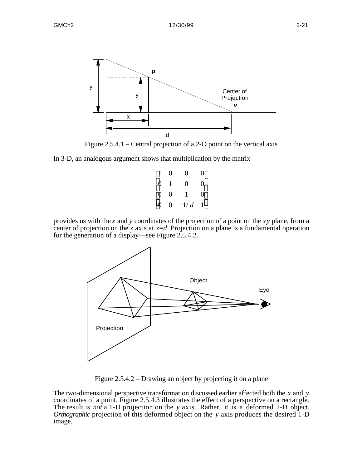

Figure 2.5.4.1 – Central projection of a 2-D point on the vertical axis

In 3-D, an analogous argument shows that multiplication by the matrix

|                | $1 \quad 0$ | 0            | 0 |
|----------------|-------------|--------------|---|
| 0 <sub>1</sub> |             | 0            | 0 |
| $0\quad 0$     |             | $\sim$ 1     | 0 |
|                |             | 0 0 $-1/d$ 1 |   |

provides us with the *x* and *y* coordinates of the projection of a point on the *xy* plane, from a center of projection on the *z* axis at  $z=d$ . Projection on a plane is a fundamental operation for the generation of a display—see Figure 2.5.4.2.



Figure 2.5.4.2 – Drawing an object by projecting it on a plane

The two-dimensional perspective transformation discussed earlier affected both the *x* and *y* coordinates of a point. Figure 2.5.4.3 illustrates the effect of a perspective on a rectangle. The result is *not* a 1-D projection on the *y* axis. Rather, it is a deformed 2-D object. *Orthographic* projection of this deformed object on the *y* axis produces the desired 1-D image.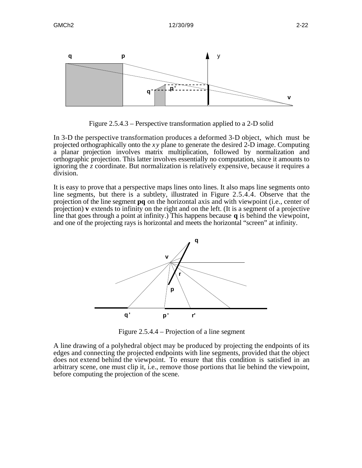

Figure 2.5.4.3 – Perspective transformation applied to a 2-D solid

In 3-D the perspective transformation produces a deformed 3-D object, which must be projected orthographically onto the *xy* plane to generate the desired 2-D image. Computing a planar projection involves matrix multiplication, followed by normalization and orthographic projection. This latter involves essentially no computation, since it amounts to ignoring the *z* coordinate. But normalization is relatively expensive, because it requires a division.

It is easy to prove that a perspective maps lines onto lines. It also maps line segments onto line segments, but there is a subtlety, illustrated in Figure 2.5.4.4. Observe that the projection of the line segment **pq** on the horizontal axis and with viewpoint (i.e., center of projection) **v** extends to infinity on the right and on the left. (It is a segment of a projective line that goes through a point at infinity.) This happens because **q** is behind the viewpoint, and one of the projecting rays is horizontal and meets the horizontal "screen" at infinity.



Figure 2.5.4.4 – Projection of a line segment

A line drawing of a polyhedral object may be produced by projecting the endpoints of its edges and connecting the projected endpoints with line segments, provided that the object does not extend behind the viewpoint. To ensure that this condition is satisfied in an arbitrary scene, one must clip it, i.e., remove those portions that lie behind the viewpoint, before computing the projection of the scene.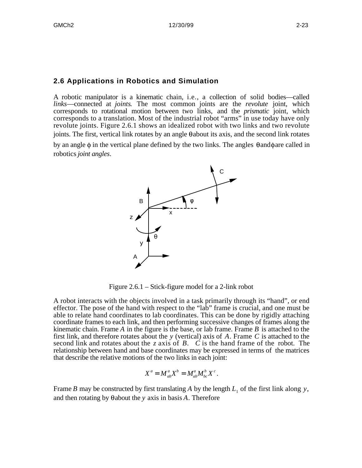## **2.6 Applications in Robotics and Simulation**

A robotic manipulator is a kinematic chain, i.e., a collection of solid bodies—called *links*—connected at *joints*. The most common joints are the *revolute* joint, which corresponds to rotational motion between two links, and the *prismatic* joint, which corresponds to a translation. Most of the industrial robot "arms" in use today have only revolute joints. Figure 2.6.1 shows an idealized robot with two links and two revolute joints. The first, vertical link rotates by an angle  $\theta$  about its axis, and the second link rotates by an angle  $\phi$  in the vertical plane defined by the two links. The angles  $\theta$  and  $\phi$  are called in robotics *joint angles*.



Figure 2.6.1 – Stick-figure model for a 2-link robot

A robot interacts with the objects involved in a task primarily through its "hand", or end effector. The pose of the hand with respect to the "lab" frame is crucial, and one must be able to relate hand coordinates to lab coordinates. This can be done by rigidly attaching coordinate frames to each link, and then performing successive changes of frames along the kinematic chain. Frame *A* in the figure is the base, or lab frame. Frame *B* is attached to the first link, and therefore rotates about the *y* (vertical) axis of *A*. Frame *C* is attached to the second link and rotates about the *z* axis of *B*. *C* is the hand frame of the robot. The relationship between hand and base coordinates may be expressed in terms of the matrices that describe the relative motions of the two links in each joint:

$$
X^a = M^a_{ab} X^b = M^a_{ab} M^b_{bc} X^c.
$$

Frame *B* may be constructed by first translating *A* by the length  $L_1$  of the first link along *y*, and then rotating by  $\theta$  about the *y* axis in basis *A*. Therefore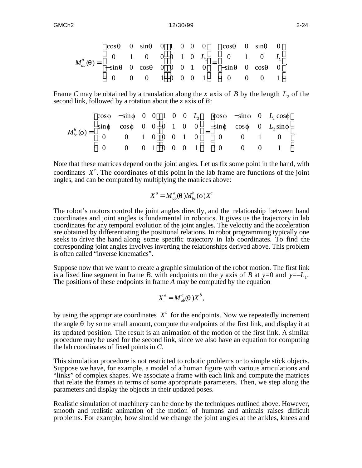$$
M_{ab}^a(\theta) = \begin{matrix} \cos\theta & 0 & \sin\theta & 0 & 1 & 0 & 0 & 0 \\ 0 & 1 & 0 & 0 & 0 & 1 & 0 & L_1 \\ -\sin\theta & 0 & \cos\theta & 0 & 0 & 0 & 1 & 0 \\ 0 & 0 & 0 & 1 & 0 & 0 & 0 & 1 \end{matrix} = \begin{matrix} \cos\theta & 0 & \sin\theta & 0 & L_1 \\ -\sin\theta & 0 & \cos\theta & 0 & L_1 \\ -\sin\theta & 0 & \cos\theta & 0 & 1 \end{matrix}.
$$

Frame *C* may be obtained by a translation along the *x* axis of *B* by the length  $L_2$  of the second link, followed by a rotation about the *z* axis of *B*:

$$
M_{bc}^{b}(\phi) = \begin{matrix}\n\cos\phi & -\sin\phi & 0 & 0 & 1 & 0 & 0 & L_{2} & \cos\phi & -\sin\phi & 0 & L_{2}\cos\phi \\
\sin\phi & \cos\phi & 0 & 0 & 0 & 1 & 0 & 0 \\
0 & 0 & 1 & 0 & 0 & 0 & 1 & 0 \\
0 & 0 & 0 & 1 & 0 & 0 & 0 & 1\n\end{matrix} = \begin{matrix}\n\cos\phi & -\sin\phi & 0 & L_{2}\cos\phi \\
\sin\phi & \cos\phi & 0 & L_{2}\sin\phi \\
0 & 0 & 1 & 0 & 0 \\
0 & 0 & 0 & 1 & 0\n\end{matrix}
$$

Note that these matrices depend on the joint angles. Let us fix some point in the hand, with coordinates  $X^c$ . The coordinates of this point in the lab frame are functions of the joint angles, and can be computed by multiplying the matrices above:

$$
X^a = M^a_{ab}(\theta) M^b_{bc}(\phi) X^c
$$

The robot's motors control the joint angles directly, and the relationship between hand coordinates and joint angles is fundamental in robotics. It gives us the trajectory in lab coordinates for any temporal evolution of the joint angles. The velocity and the acceleration are obtained by differentiating the positional relations. In robot programming typically one seeks to drive the hand along some specific trajectory in lab coordinates. To find the corresponding joint angles involves inverting the relationships derived above. This problem is often called "inverse kinematics".

Suppose now that we want to create a graphic simulation of the robot motion. The first link is a fixed line segment in frame *B*, with endpoints on the *y* axis of *B* at  $y=0$  and  $y=-L_1$ . The positions of these endpoints in frame *A* may be computed by the equation

$$
X^a = M_{ab}^a(\theta) X^b,
$$

by using the appropriate coordinates  $X^b$  for the endpoints. Now we repeatedly increment the angle  $\theta$  by some small amount, compute the endpoints of the first link, and display it at its updated position. The result is an animation of the motion of the first link. A similar procedure may be used for the second link, since we also have an equation for computing the lab coordinates of fixed points in *C.*

This simulation procedure is not restricted to robotic problems or to simple stick objects. Suppose we have, for example, a model of a human figure with various articulations and "links" of complex shapes. We associate a frame with each link and compute the matrices that relate the frames in terms of some appropriate parameters. Then, we step along the parameters and display the objects in their updated poses.

Realistic simulation of machinery can be done by the techniques outlined above. However, smooth and realistic animation of the motion of humans and animals raises difficult problems. For example, how should we change the joint angles at the ankles, knees and

.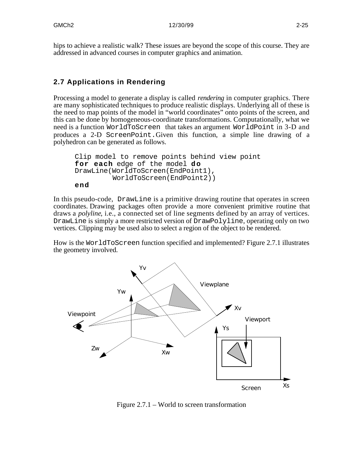hips to achieve a realistic walk? These issues are beyond the scope of this course. They are addressed in advanced courses in computer graphics and animation.

# **2.7 Applications in Rendering**

Processing a model to generate a display is called *rendering* in computer graphics. There are many sophisticated techniques to produce realistic displays. Underlying all of these is the need to map points of the model in "world coordinates" onto points of the screen, and this can be done by homogeneous-coordinate transformations. Computationally, what we need is a function WorldToScreen that takes an argument WorldPoint in 3-D and produces a 2-D ScreenPoint.Given this function, a simple line drawing of a polyhedron can be generated as follows.

```
Clip model to remove points behind view point
for each edge of the model do
DrawLine(WorldToScreen(EndPoint1), 
          WorldToScreen(EndPoint2))
end
```
In this pseudo-code, DrawLine is a primitive drawing routine that operates in screen coordinates. Drawing packages often provide a more convenient primitive routine that draws a *polyline*, i.e., a connected set of line segments defined by an array of vertices. DrawLine is simply a more restricted version of DrawPolyline, operating only on two vertices. Clipping may be used also to select a region of the object to be rendered.

How is the WorldToScreen function specified and implemented? Figure 2.7.1 illustrates the geometry involved.



Figure 2.7.1 – World to screen transformation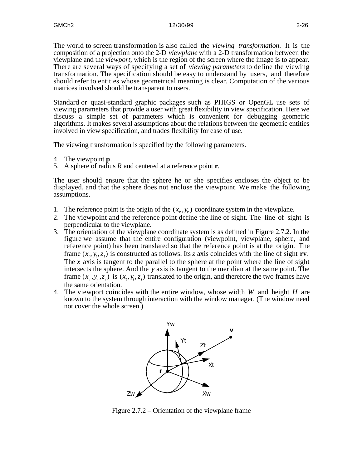The world to screen transformation is also called the *viewing transformation*. It is the composition of a projection onto the 2-D *viewplane* with a 2-D transformation between the viewplane and the *viewport*, which is the region of the screen where the image is to appear. There are several ways of specifying a set of *viewing parameters* to define the viewing transformation. The specification should be easy to understand by users, and therefore should refer to entities whose geometrical meaning is clear. Computation of the various matrices involved should be transparent to users.

Standard or quasi-standard graphic packages such as PHIGS or OpenGL use sets of viewing parameters that provide a user with great flexibility in view specification. Here we discuss a simple set of parameters which is convenient for debugging geometric algorithms. It makes several assumptions about the relations between the geometric entities involved in view specification, and trades flexibility for ease of use.

The viewing transformation is specified by the following parameters.

- 4. The viewpoint **p**.
- 5. A sphere of radius *R* and centered at a reference point **r**.

The user should ensure that the sphere he or she specifies encloses the object to be displayed, and that the sphere does not enclose the viewpoint. We make the following assumptions.

- 1. The reference point is the origin of the  $(x_v, y_v)$  coordinate system in the viewplane.
- 2. The viewpoint and the reference point define the line of sight. The line of sight is perpendicular to the viewplane.
- 3. The orientation of the viewplane coordinate system is as defined in Figure 2.7.2. In the figure we assume that the entire configuration (viewpoint, viewplane, sphere, and reference point) has been translated so that the reference point is at the origin. The frame  $(x_t, y_t, z_t)$  is constructed as follows. Its *z* axis coincides with the line of sight **rv**. The *x* axis is tangent to the parallel to the sphere at the point where the line of sight intersects the sphere. And the *y* axis is tangent to the meridian at the same point. The frame  $(x_v, y_v, z_v)$  is  $(x_t, y_t, z_t)$  translated to the origin, and therefore the two frames have the same orientation.
- 4. The viewport coincides with the entire window, whose width *W* and height *H* are known to the system through interaction with the window manager. (The window need not cover the whole screen.)



Figure 2.7.2 – Orientation of the viewplane frame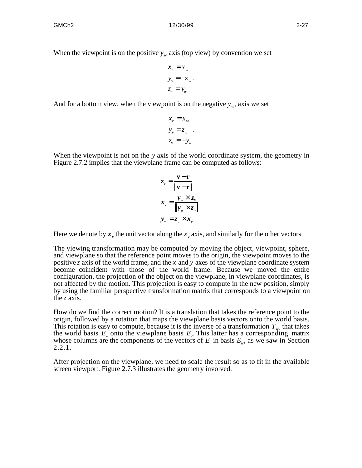When the viewpoint is on the positive  $y_w$  axis (top view) by convention we set

$$
x_v = x_w
$$
  

$$
y_v = -z_w
$$
  

$$
z_v = y_w
$$

.

And for a bottom view, when the viewpoint is on the negative  $y_w$ , axis we set

$$
x_v = x_w
$$
  
\n
$$
y_v = z_w
$$
  
\n
$$
z_v = -y_w
$$

When the viewpoint is not on the *y* axis of the world coordinate system, the geometry in Figure 2.7.2 implies that the viewplane frame can be computed as follows:

$$
z_{v} = \frac{\mathbf{v} - \mathbf{r}}{\|\mathbf{v} - \mathbf{r}\|}
$$

$$
x_{v} = \frac{y_{w} \times z_{v}}{\|y_{w} \times z_{v}\|}
$$

$$
y_{v} = z_{v} \times x_{v}
$$

.

Here we denote by  $x<sub>v</sub>$ , the unit vector along the  $x<sub>v</sub>$  axis, and similarly for the other vectors.

The viewing transformation may be computed by moving the object, viewpoint, sphere, and viewplane so that the reference point moves to the origin, the viewpoint moves to the positive *z* axis of the world frame, and the *x* and *y* axes of the viewplane coordinate system become coincident with those of the world frame. Because we moved the entire configuration, the projection of the object on the viewplane, in viewplane coordinates, is not affected by the motion. This projection is easy to compute in the new position, simply by using the familiar perspective transformation matrix that corresponds to a viewpoint on the *z* axis.

How do we find the correct motion? It is a translation that takes the reference point to the origin, followed by a rotation that maps the viewplane basis vectors onto the world basis. This rotation is easy to compute, because it is the inverse of a transformation  $T_{wv}$  that takes the world basis  $E_w$  onto the viewplane basis  $E_v$ . This latter has a corresponding matrix whose columns are the components of the vectors of  $E_\nu$  in basis  $E_\nu$ , as we saw in Section 2.2.1.

After projection on the viewplane, we need to scale the result so as to fit in the available screen viewport. Figure 2.7.3 illustrates the geometry involved.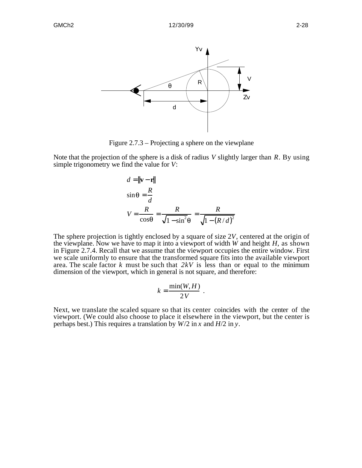

Figure 2.7.3 – Projecting a sphere on the viewplane

Note that the projection of the sphere is a disk of radius *V* slightly larger than *R*. By using simple trigonometry we find the value for *V*:

$$
d = ||\mathbf{v} - \mathbf{r}||
$$
  
\n
$$
\sin \theta = \frac{R}{d}
$$
  
\n
$$
V = \frac{R}{\cos \theta} = \frac{R}{\sqrt{1 - \sin^2 \theta}} = \frac{R}{\sqrt{1 - (R/d)^2}}
$$

The sphere projection is tightly enclosed by a square of size 2*V*, centered at the origin of the viewplane. Now we have to map it into a viewport of width *W* and height *H*, as shown in Figure 2.7.4. Recall that we assume that the viewport occupies the entire window. First we scale uniformly to ensure that the transformed square fits into the available viewport area. The scale factor *k* must be such that *2kV* is less than or equal to the minimum dimension of the viewport, which in general is not square, and therefore:

$$
k=\frac{\min(W,H)}{2V}.
$$

Next, we translate the scaled square so that its center coincides with the center of the viewport. (We could also choose to place it elsewhere in the viewport, but the center is perhaps best.) This requires a translation by *W*/2 in *x* and *H*/2 in *y*.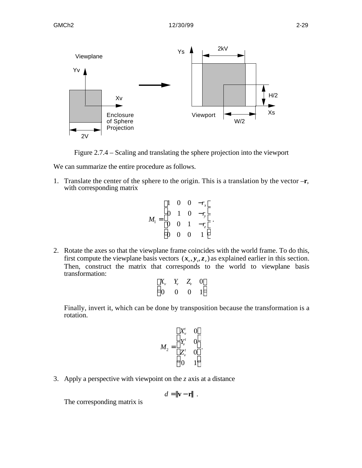

Figure 2.7.4 – Scaling and translating the sphere projection into the viewport

We can summarize the entire procedure as follows.

1. Translate the center of the sphere to the origin. This is a translation by the vector –**r**, with corresponding matrix

$$
M_1 = \begin{pmatrix} 1 & 0 & 0 & -r_x \\ 0 & 1 & 0 & -r_y \\ 0 & 0 & 1 & -r_z \\ 0 & 0 & 0 & 1 \end{pmatrix}.
$$

2. Rotate the axes so that the viewplane frame coincides with the world frame. To do this, first compute the viewplane basis vectors  $(x_v, y_v, z_v)$  as explained earlier in this section. Then, construct the matrix that corresponds to the world to viewplane basis transformation:

$$
\begin{array}{cccc}\nX_v & Y_v & Z_v & 0 \\
0 & 0 & 0 & 1\n\end{array}
$$

Finally, invert it, which can be done by transposition because the transformation is a rotation.

$$
M_2 = \begin{array}{ccc} X_v^t & 0 \\ Y_v^t & 0 \\ Z_v^t & 0 \\ 0 & 1 \end{array}.
$$

3. Apply a perspective with viewpoint on the *z* axis at a distance

$$
d = ||\mathbf{v} - \mathbf{r}||.
$$

The corresponding matrix is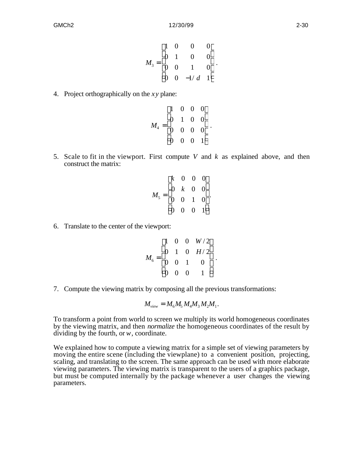$$
M_3 = \begin{pmatrix} 1 & 0 & 0 & 0 \\ 0 & 1 & 0 & 0 \\ 0 & 0 & 1 & 0 \\ 0 & 0 & -1/d & 1 \end{pmatrix}.
$$

4. Project orthographically on the *xy* plane:

$$
M_4 = \begin{pmatrix} 1 & 0 & 0 & 0 \\ 0 & 1 & 0 & 0 \\ 0 & 0 & 0 & 0 \\ 0 & 0 & 0 & 1 \end{pmatrix}.
$$

5. Scale to fit in the viewport. First compute *V* and *k* as explained above, and then construct the matrix:

$$
M_5 = \begin{pmatrix} k & 0 & 0 & 0 \\ 0 & k & 0 & 0 \\ 0 & 0 & 1 & 0 \\ 0 & 0 & 0 & 1 \end{pmatrix}
$$

.

6. Translate to the center of the viewport:

$$
M_6 = \begin{pmatrix} 1 & 0 & 0 & W/2 \\ 0 & 1 & 0 & H/2 \\ 0 & 0 & 1 & 0 \\ 0 & 0 & 0 & 1 \end{pmatrix}.
$$

7. Compute the viewing matrix by composing all the previous transformations:

$$
M_{\rm view} = M_6 M_5 M_4 M_3 M_2 M_1.
$$

To transform a point from world to screen we multiply its world homogeneous coordinates by the viewing matrix, and then *normalize* the homogeneous coordinates of the result by dividing by the fourth, or *w*, coordinate.

We explained how to compute a viewing matrix for a simple set of viewing parameters by moving the entire scene (including the viewplane) to a convenient position, projecting, scaling, and translating to the screen. The same approach can be used with more elaborate viewing parameters. The viewing matrix is transparent to the users of a graphics package, but must be computed internally by the package whenever a user changes the viewing parameters.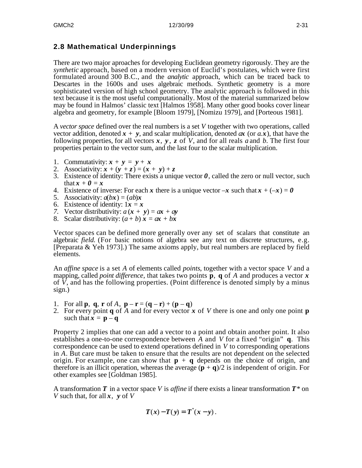# **2.8 Mathematical Underpinnings**

There are two major aproaches for developing Euclidean geometry rigorously. They are the *synthetic* approach, based on a modern version of Euclid's postulates, which were first formulated around 300 B.C., and the *analytic* approach, which can be traced back to Descartes in the 1600s and uses algebraic methods. Synthetic geometry is a more sophisticated version of high school geometry. The analytic approach is followed in this text because it is the most useful computationally. Most of the material summarized below may be found in Halmos' classic text [Halmos 1958]. Many other good books cover linear algebra and geometry, for example [Bloom 1979], [Nomizu 1979], and [Porteous 1981].

A *vector space* defined over the real numbers is a set *V* together with two operations, called vector addition, denoted  $x + y$ , and scalar multiplication, denoted  $\alpha x$  (or  $a.x$ ), that have the following properties, for all vectors *x*, *y* , *z* of *V*, and for all reals *a* and *b*. The first four properties pertain to the vector sum, and the last four to the scalar multiplication.

- 1. Commutativity:  $x + y = y + x$
- 2. Associativity:  $x + (y + z) = (x + y) + z$
- 3. Existence of identity: There exists a unique vector  $\theta$ , called the zero or null vector, such that  $\mathbf{x} + \mathbf{0} = \mathbf{x}$
- 4. Existence of inverse: For each x there is a unique vector  $-x$  such that  $x + (-x) = 0$
- 5. Associativity:  $a(bx) = (ab)x$
- 6. Existence of identity:  $1x = x$
- *7.* Vector distributivity:  $a(x + y) = ax + ay$
- 8. Scalar distributivity:  $(a + b) x = ax + bx$

Vector spaces can be defined more generally over any set of scalars that constitute an algebraic *field*. (For basic notions of algebra see any text on discrete structures, e.g. [Preparata & Yeh 1973].) The same axioms apply, but real numbers are replaced by field elements.

An *affine space* is a set *A* of elements called *points*, together with a vector space *V* and a mapping, called *point difference*, that takes two points **p**, **q** of *A* and produces a vector *x* of *V*, and has the following properties. (Point difference is denoted simply by a minus sign.)

- 1. For all **p**, **q**, **r** of *A*, **p r** = (**q r**) + (**p q**)
- 2. For every point **q** of *A* and for every vector *x* of *V* there is one and only one point **p** such that  $\mathbf{x} = \mathbf{p} - \mathbf{q}$

Property 2 implies that one can add a vector to a point and obtain another point. It also establishes a one-to-one correspondence between *A* and *V* for a fixed "origin" **q**. This correspondence can be used to extend operations defined in *V* to corresponding operations in *A*. But care must be taken to ensure that the results are not dependent on the selected origin. For example, one can show that  $\mathbf{p} + \mathbf{q}$  depends on the choice of origin, and therefore is an illicit operation, whereas the average  $(\mathbf{p} + \mathbf{q})/2$  is independent of origin. For other examples see [Goldman 1985].

A transformation *T* in a vector space *V* is *affine* if there exists a linear transformation *T\** on *V* such that, for all *x*, *y* of *V*

$$
T(x)-T(y)=T^*(x-y).
$$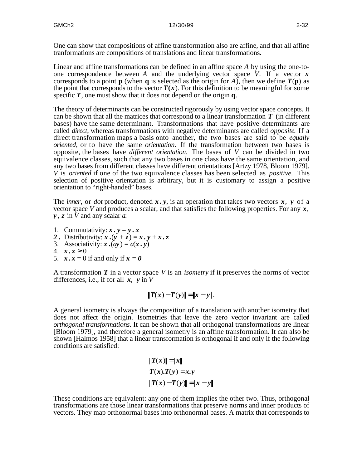One can show that compositions of affine transformation also are affine, and that all affine tranformations are compositions of translations and linear transformations.

Linear and affine transformations can be defined in an affine space *A* by using the one-toone correspondence between *A* and the underlying vector space *V*. If a vector *x* corresponds to a point **p** (when **q** is selected as the origin for *A*), then we define  $T(\mathbf{p})$  as the point that corresponds to the vector  $T(x)$ . For this definition to be meaningful for some specific *T*, one must show that it does not depend on the origin **q**.

The theory of determinants can be constructed rigorously by using vector space concepts. It can be shown that all the matrices that correspond to a linear transformation *T* (in different bases) have the same determinant. Transformations that have positive determinants are called *direct*, whereas transformations with negative determinants are called *opposite*. If a direct transformation maps a basis onto another, the two bases are said to be *equally oriented*, or to have the same *orientation*. If the transformation between two bases is opposite, the bases have *different orientation*. The bases of *V* can be divided in two equivalence classes, such that any two bases in one class have the same orientation, and any two bases from different classes have different orientations [Artzy 1978, Bloom 1979]. *V* is *oriented* if one of the two equivalence classes has been selected as *positive*. This selection of positive orientation is arbitrary, but it is customary to assign a positive orientation to "right-handed" bases.

The *inner*, or *dot* product, denoted  $x, y$ , is an operation that takes two vectors  $x, y$  of a vector space *V* and produces a scalar, and that satisfies the following properties. For any *x*, *y* , *z* in *V* and any scalar *a*:

- 1. Commutativity:  $x \cdot y = y \cdot x$
- 2. Distributivity:  $\dot{x}$ .  $(y + z) = \dot{x}$ .  $y + x$ .  $z$
- 3. Associativity:  $\mathbf{x} \cdot (a\mathbf{y}) = a(\mathbf{x}, \mathbf{y})$
- 4. *x.x* 0
- 5.  $\mathbf{x} \cdot \mathbf{x} = 0$  if and only if  $\mathbf{x} = \mathbf{0}$

A transformation *T* in a vector space *V* is an *isometry* if it preserves the norms of vector differences, i.e., if for all *x*, *y* in *V*

$$
||T(x) - T(y)|| = ||x - y||.
$$

A general isometry is always the composition of a translation with another isometry that does not affect the origin. Isometries that leave the zero vector invariant are called *orthogonal transformations*. It can be shown that all orthogonal transformations are linear [Bloom 1979], and therefore a general isometry is an affine transformation. It can also be shown [Halmos 1958] that a linear transformation is orthogonal if and only if the following conditions are satisfied:

$$
||T(x)|| = ||x||
$$
  
\n
$$
T(x).T(y) = x.y
$$
  
\n
$$
||T(x) - T(y)|| = ||x - y||
$$

These conditions are equivalent: any one of them implies the other two. Thus, orthogonal transformations are those linear transformations that preserve norms and inner products of vectors. They map orthonormal bases into orthonormal bases. A matrix that corresponds to